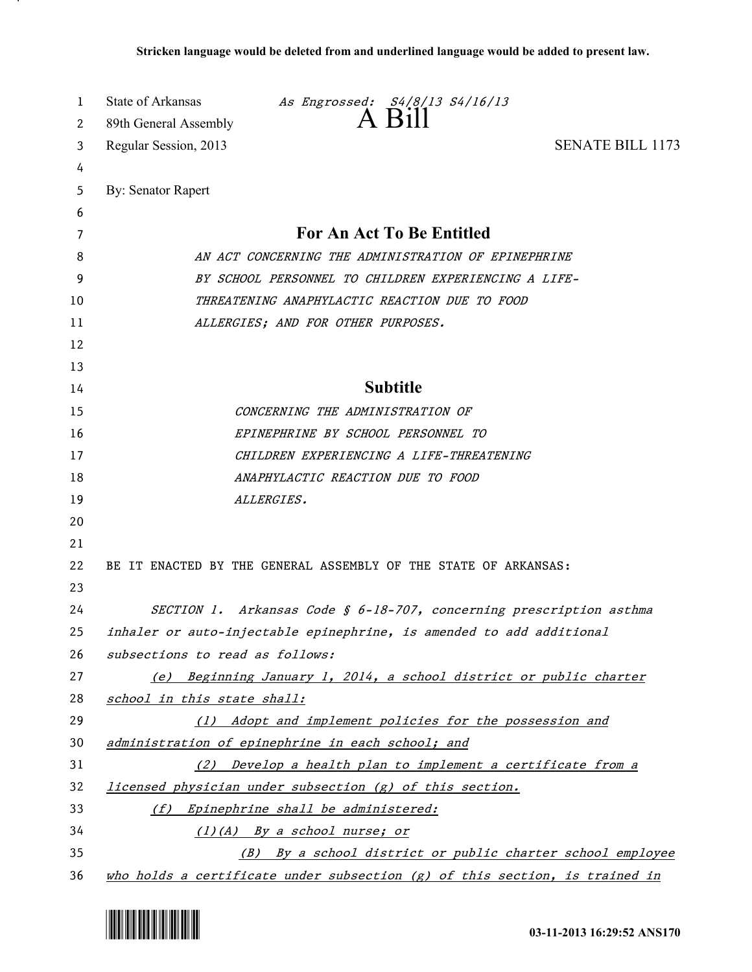| 1        | State of Arkansas<br>As Engrossed: S4/8/13 S4/16/13<br>$A$ $B1$                                                         |
|----------|-------------------------------------------------------------------------------------------------------------------------|
| 2        | 89th General Assembly<br><b>SENATE BILL 1173</b>                                                                        |
| 3<br>4   | Regular Session, 2013                                                                                                   |
| 5        | By: Senator Rapert                                                                                                      |
| 6        |                                                                                                                         |
| 7        | For An Act To Be Entitled                                                                                               |
| 8        | AN ACT CONCERNING THE ADMINISTRATION OF EPINEPHRINE                                                                     |
| 9        | BY SCHOOL PERSONNEL TO CHILDREN EXPERIENCING A LIFE-                                                                    |
| 10       | THREATENING ANAPHYLACTIC REACTION DUE TO FOOD                                                                           |
| 11       | ALLERGIES; AND FOR OTHER PURPOSES.                                                                                      |
| 12       |                                                                                                                         |
| 13       |                                                                                                                         |
| 14       | <b>Subtitle</b>                                                                                                         |
| 15       | CONCERNING THE ADMINISTRATION OF                                                                                        |
| 16       | EPINEPHRINE BY SCHOOL PERSONNEL TO                                                                                      |
| 17       | CHILDREN EXPERIENCING A LIFE-THREATENING                                                                                |
| 18       | ANAPHYLACTIC REACTION DUE TO FOOD                                                                                       |
| 19       | ALLERGIES.                                                                                                              |
| 20       |                                                                                                                         |
| 21       |                                                                                                                         |
| 22       | BE IT ENACTED BY THE GENERAL ASSEMBLY OF THE STATE OF ARKANSAS:                                                         |
| 23       |                                                                                                                         |
| 24       | SECTION 1. Arkansas Code § 6-18-707, concerning prescription asthma                                                     |
| 25       | inhaler or auto-injectable epinephrine, is amended to add additional                                                    |
| 26       | subsections to read as follows:                                                                                         |
| 27       | (e) Beginning January 1, 2014, a school district or public charter                                                      |
| 28       | school in this state shall:                                                                                             |
| 29       | (1) Adopt and implement policies for the possession and                                                                 |
| 30       | administration of epinephrine in each school; and                                                                       |
| 31<br>32 | (2) Develop a health plan to implement a certificate from a<br>licensed physician under subsection (g) of this section. |
| 33       | (f) Epinephrine shall be administered:                                                                                  |
| 34       | (1)(A) By a school nurse; or                                                                                            |
| 35       | (B) By a school district or public charter school employee                                                              |
| 36       | $who$ holds a certificate under subsection $(g)$ of this section, is trained in                                         |